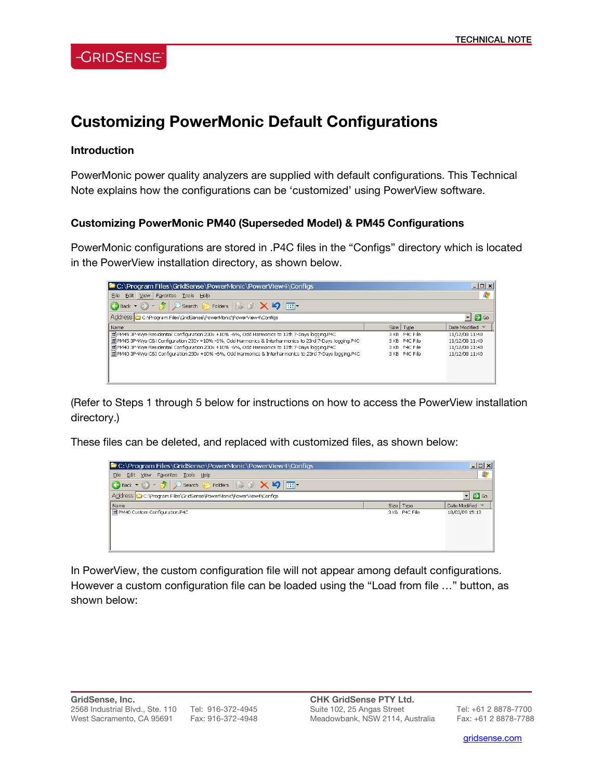## **Customizing PowerMonic Default Configurations**

#### **Introduction**

PowerMonic power quality analyzers are supplied with default configurations. This Technical Note explains how the configurations can be 'customized' using PowerView software.

### **Customizing PowerMonic PM40 (Superseded Model) & PM45 Configurations**

PowerMonic configurations are stored in .P4C files in the "Configs" directory which is located in the PowerView installation directory, as shown below.

| $\rightarrow$ Go |
|------------------|
| Date Modified \  |
| 11/12/08 11:40   |
| 11/12/08 11:40   |
| 11/12/08 11:40   |
| 11/12/08 11:40   |
|                  |
|                  |
|                  |
|                  |

(Refer to Steps 1 through 5 below for instructions on how to access the PowerView installation directory.)

These files can be deleted, and replaced with customized files, as shown below:

| $ \Box$ $\times$<br>C:\Program Files\GridSense\PowerMonic\PowerView4\Configs           |  |               |                |  |  |  |
|----------------------------------------------------------------------------------------|--|---------------|----------------|--|--|--|
| Eile<br>Edit View Favorites Tools Help                                                 |  |               |                |  |  |  |
| G Back + ( ) + [ J   O Search   G Folders   B B X   S   III] +                         |  |               |                |  |  |  |
| Address C C:\Program Files\GridSense\PowerMonic\PowerView4\Configs<br>$\Rightarrow$ Go |  |               |                |  |  |  |
| Name                                                                                   |  | Size   Type   | Date Modified  |  |  |  |
| PM40 Custom Configuration.P4C                                                          |  | 3 KB P4C File | 18/03/09 15:13 |  |  |  |

In PowerView, the custom configuration file will not appear among default configurations. However a custom configuration file can be loaded using the "Load from file …" button, as shown below:

l

gridsense.com i de la companya de la companya de la companya de la companya de la companya de la companya de l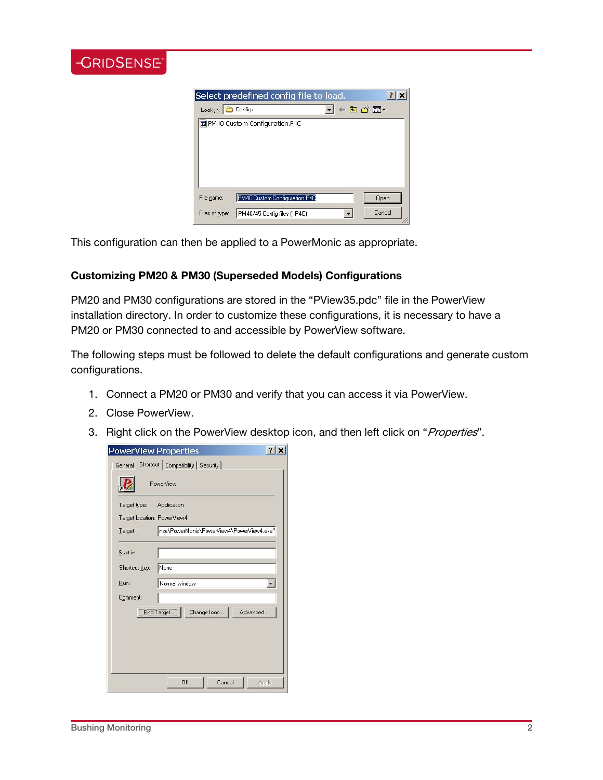| ENSE j |          |                                                   |       |     |
|--------|----------|---------------------------------------------------|-------|-----|
|        | Look in: | Select predefined config file to load.<br>Configs | ←国普丽▼ | ? x |
|        |          | 圖 PM40 Custom Configuration.P4C                   |       |     |
|        |          |                                                   |       |     |

This configuration can then be applied to a PowerMonic as appropriate.

### **Customizing PM20 & PM30 (Superseded Models) Configurations**

PM20 and PM30 configurations are stored in the "PView35.pdc" file in the PowerView installation directory. In order to customize these configurations, it is necessary to have a PM20 or PM30 connected to and accessible by PowerView software.

The following steps must be followed to delete the default configurations and generate custom configurations.

- 1. Connect a PM20 or PM30 and verify that you can access it via PowerView.
- 2. Close PowerView.

GRIDS

3. Right click on the PowerView desktop icon, and then left click on "Properties".

| PowerView Properties                                 | 2            |
|------------------------------------------------------|--------------|
| Shortcut   Compatibility   Security  <br>General     |              |
| PowerView                                            |              |
| Target type:<br>Application                          |              |
| Target location: PowerView4                          |              |
| nse\PowerMonic\PowerView4\PowerView4.exe"<br>Target: |              |
| Start in:                                            |              |
| None<br>Shortcut key:                                |              |
| Normal window<br>Run:                                |              |
| Comment:                                             |              |
| Eind Target<br>Change Icon<br>Advanced               |              |
|                                                      |              |
|                                                      |              |
| <b>OK</b><br>Cancel                                  | <b>Apply</b> |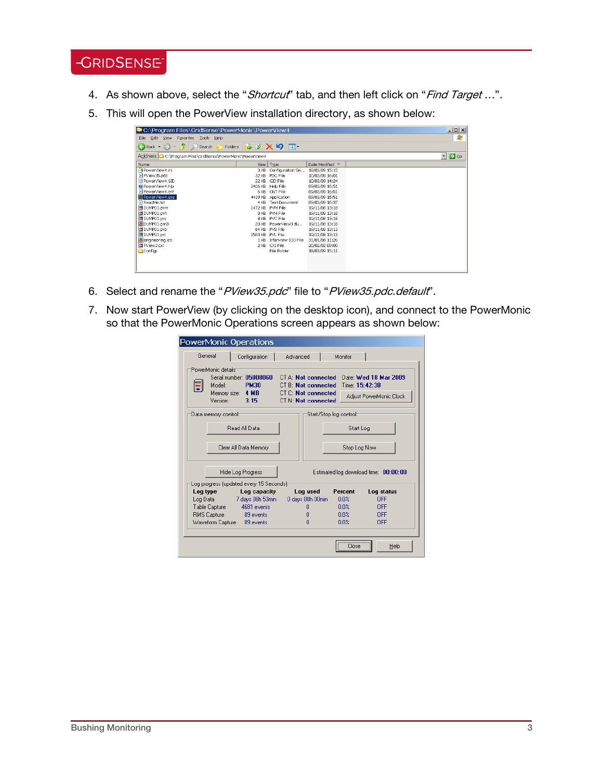# **-GRIDSENSE**

- 4. As shown above, select the "Shortcut" tab, and then left click on "Find Target ...".
- 5. This will open the PowerView installation directory, as shown below:

| Edit View<br>Tools Help<br>Eile<br>Favorites                           |                                   |                         |                 |  | $ \Box$ $\times$<br>n,           |
|------------------------------------------------------------------------|-----------------------------------|-------------------------|-----------------|--|----------------------------------|
|                                                                        |                                   |                         |                 |  |                                  |
| $\bigoplus$ Back $\bullet$ $\rightarrow$ $\bullet$ $\bullet$<br>Search | Folders <b>B</b> B X 9 <b>111</b> |                         |                 |  |                                  |
| Address C:\Program Files\GridSense\PowerMonic\PowerView4               |                                   |                         |                 |  | $\blacksquare$ $\blacksquare$ Go |
| Name                                                                   | Size                              | Type                    | Date Modified ~ |  |                                  |
| PowerView4.ini                                                         | 3 KB                              | Configuration Se        | 18/03/09 15:15  |  |                                  |
| PView35.pdc                                                            |                                   | 32 KB PDC File          | 10/03/09 16:01  |  |                                  |
| Til PowerView4.GID                                                     |                                   | 22 KB GID File          | 10/03/09 14:24  |  |                                  |
| (2) PowerView4.hlp                                                     |                                   | 2406 KB Help File       | 09/03/09 16:51  |  |                                  |
| BI PowerView4.cnt                                                      |                                   | 6 KB CNT File           | 09/03/09 16:51  |  |                                  |
| PowerView4.exe                                                         |                                   | 4439 KB Application     | 09/03/09 16:51  |  |                                  |
| ReadMe.bt                                                              | 4 KB                              | Text Document           | 09/03/09 16:37  |  |                                  |
| d DUMP01.pvm                                                           |                                   | 1472 KB PVM File        | 19/11/08 13:18  |  |                                  |
| DUMP01.pvh                                                             |                                   | <b>OKB PVH File</b>     | 19/11/08 13:18  |  |                                  |
| El DUMP01.pvc                                                          |                                   | 8 KB PVC File           | 19/11/08 13:18  |  |                                  |
| <b>B</b> DUMP01.pm3                                                    |                                   | 20 KB PowerView3 du     | 19/11/08 13:18  |  |                                  |
| d DUMP01.pvb                                                           |                                   | 64 KB PVB File          | 19/11/08 13:13  |  |                                  |
| DUMP01.pvl                                                             | 2560 KB PVL File                  |                         | 19/11/08 13:13  |  |                                  |
| <b>B</b> engineering.ico                                               |                                   | 1 KB InfanView ICO File | 31/01/08 11:26  |  |                                  |
| <b>E</b> PView3.cxi                                                    |                                   | 2 KB CXI File           | 20/02/02 09:00  |  |                                  |
| Configs                                                                |                                   | File Folder             | 18/03/09 15:11  |  |                                  |
|                                                                        |                                   |                         |                 |  |                                  |
|                                                                        |                                   |                         |                 |  |                                  |

- 6. Select and rename the "PView35.pdc" file to "PView35.pdc.default".
- 7. Now start PowerView (by clicking on the desktop icon), and connect to the PowerMonic so that the PowerMonic Operations screen appears as shown below:

|                     | Configuration                           | Advanced                                                 |                        | Monitor      |                                         |
|---------------------|-----------------------------------------|----------------------------------------------------------|------------------------|--------------|-----------------------------------------|
| PowerMonic details  |                                         |                                                          |                        |              |                                         |
| Ξ<br>Model:         | Serial number: 05008060<br><b>PM30</b>  | <b>CT A: Not connected</b><br><b>CT B: Not connected</b> |                        |              | Date: Wed 18 Mar 2009<br>Time: 15:42:38 |
| Version:            | Memory size: 4 MB<br>3.15               | <b>CT C: Not connected</b><br><b>CT N: Not connected</b> |                        |              | Adjust PowerMonic Clock                 |
| Data memory control |                                         |                                                          | Start/Stop log control |              |                                         |
|                     | Read All Data                           |                                                          |                        | Start Log    |                                         |
|                     | Clear All Data Memory                   |                                                          |                        | Stop Log Now |                                         |
|                     | <b>Hide Log Progress</b>                |                                                          |                        |              | Estimated log download time: 00:00:00   |
|                     | Log progress (updated every 15 Seconds) |                                                          |                        |              |                                         |
|                     | Log capacity                            | Log used                                                 |                        | Percent      | Log status                              |
| Log type            |                                         | 0 days 00h 00min                                         |                        | 0.0%         | <b>OFF</b>                              |
|                     | Log Data 7 days 08h 53min               |                                                          |                        | 0.0%         | OFF                                     |
| Table Capture       | 4681 events                             | $\Omega$                                                 |                        |              |                                         |
| <b>RMS Capture</b>  | 89 events<br>Waveform Capture 89 events | n<br>n                                                   |                        | 0.0%<br>0.0% | OFF<br>OFF                              |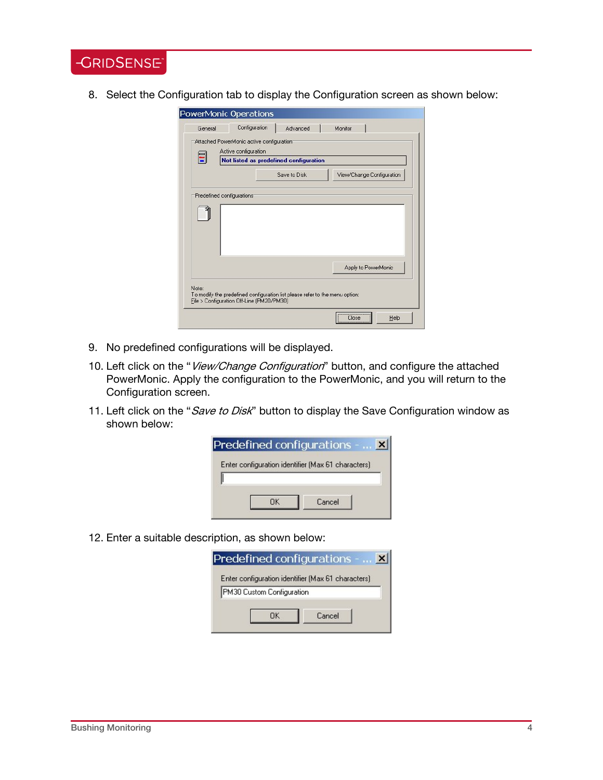**-GRIDSENSE** 

8. Select the Configuration tab to display the Configuration screen as shown below:

|                            | Attached PowerMonic active configuration<br>Active configuration | Not listed as predefined configuration |                           |
|----------------------------|------------------------------------------------------------------|----------------------------------------|---------------------------|
|                            |                                                                  | Save to Disk                           | View/Change Configuration |
| Predefined configurations: |                                                                  |                                        |                           |
|                            |                                                                  |                                        |                           |
|                            |                                                                  |                                        |                           |
|                            |                                                                  |                                        |                           |
|                            |                                                                  |                                        | Apply to PowerMonic       |

- 9. No predefined configurations will be displayed.
- 10. Left click on the "View/Change Configuration" button, and configure the attached PowerMonic. Apply the configuration to the PowerMonic, and you will return to the Configuration screen.
- 11. Left click on the "Save to Disk" button to display the Save Configuration window as shown below:

| <b>Predefined configurations - </b>                |
|----------------------------------------------------|
| Enter configuration identifier (Max 61 characters) |
|                                                    |
| Cancel                                             |

12. Enter a suitable description, as shown below:

| Predefined configurations -                        |        |
|----------------------------------------------------|--------|
| Enter configuration identifier (Max 61 characters) |        |
| PM30 Custom Configuration                          |        |
|                                                    | Cancel |